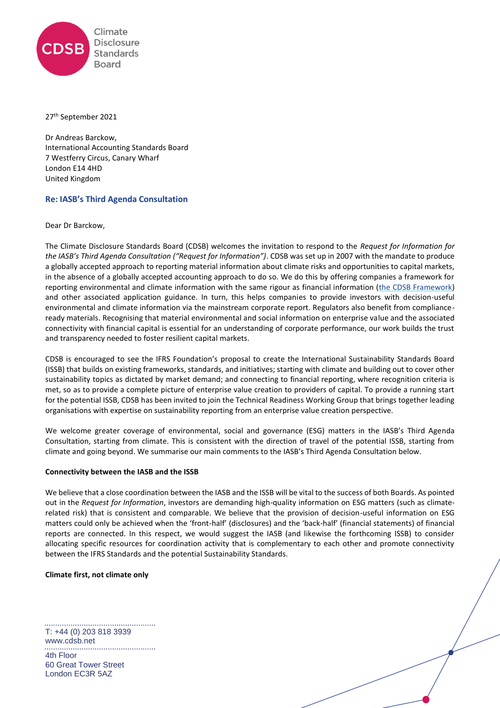

#### 27<sup>th</sup> September 2021

Dr Andreas Barckow, International Accounting Standards Board 7 Westferry Circus, Canary Wharf London E14 4HD United Kingdom

## **Re: IASB's Third Agenda Consultation**

Dear Dr Barckow,

The Climate Disclosure Standards Board (CDSB) welcomes the invitation to respond to the *Request for Information for the IASB's Third Agenda Consultation ("Request for Information")*. CDSB was set up in 2007 with the mandate to produce a globally accepted approach to reporting material information about climate risks and opportunities to capital markets, in the absence of a globally accepted accounting approach to do so. We do this by offering companies a framework for reporting environmental and climate information with the same rigour as financial information [\(the CDSB Framework\)](https://www.cdsb.net/what-we-do/reporting-frameworks/environmental-information-natural-capital) and other associated application guidance. In turn, this helps companies to provide investors with decision-useful environmental and climate information via the mainstream corporate report. Regulators also benefit from complianceready materials. Recognising that material environmental and social information on enterprise value and the associated connectivity with financial capital is essential for an understanding of corporate performance, our work builds the trust and transparency needed to foster resilient capital markets.

CDSB is encouraged to see the IFRS Foundation's proposal to create the International Sustainability Standards Board (ISSB) that builds on existing frameworks, standards, and initiatives; starting with climate and building out to cover other sustainability topics as dictated by market demand; and connecting to financial reporting, where recognition criteria is met, so as to provide a complete picture of enterprise value creation to providers of capital. To provide a running start for the potential ISSB, CDSB has been invited to join the Technical Readiness Working Group that brings together leading organisations with expertise on sustainability reporting from an enterprise value creation perspective.

We welcome greater coverage of environmental, social and governance (ESG) matters in the IASB's Third Agenda Consultation, starting from climate. This is consistent with the direction of travel of the potential ISSB, starting from climate and going beyond. We summarise our main comments to the IASB's Third Agenda Consultation below.

### **Connectivity between the IASB and the ISSB**

We believe that a close coordination between the IASB and the ISSB will be vital to the success of both Boards. As pointed out in the *Request for Information*, investors are demanding high-quality information on ESG matters (such as climaterelated risk) that is consistent and comparable. We believe that the provision of decision-useful information on ESG matters could only be achieved when the 'front-half' (disclosures) and the 'back-half' (financial statements) of financial reports are connected. In this respect, we would suggest the IASB (and likewise the forthcoming ISSB) to consider allocating specific resources for coordination activity that is complementary to each other and promote connectivity between the IFRS Standards and the potential Sustainability Standards.

### **Climate first, not climate only**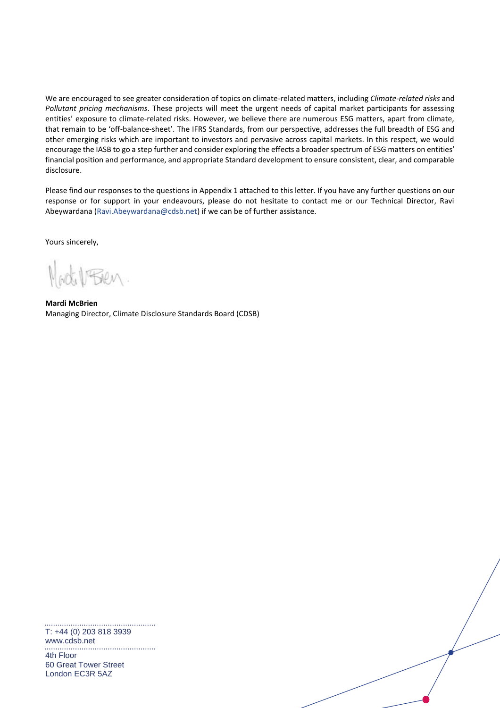We are encouraged to see greater consideration of topics on climate-related matters, including *Climate-related risks* and *Pollutant pricing mechanisms*. These projects will meet the urgent needs of capital market participants for assessing entities' exposure to climate-related risks. However, we believe there are numerous ESG matters, apart from climate, that remain to be 'off-balance-sheet'. The IFRS Standards, from our perspective, addresses the full breadth of ESG and other emerging risks which are important to investors and pervasive across capital markets. In this respect, we would encourage the IASB to go a step further and consider exploring the effects a broader spectrum of ESG matters on entities' financial position and performance, and appropriate Standard development to ensure consistent, clear, and comparable disclosure.

Please find our responses to the questions in Appendix 1 attached to this letter. If you have any further questions on our response or for support in your endeavours, please do not hesitate to contact me or our Technical Director, Ravi Abeywardana [\(Ravi.Abeywardana@cdsb.net\)](mailto:Ravi.Abeywardana@cdsb.net) if we can be of further assistance.

Yours sincerely,

**Mardi McBrien** Managing Director, Climate Disclosure Standards Board (CDSB)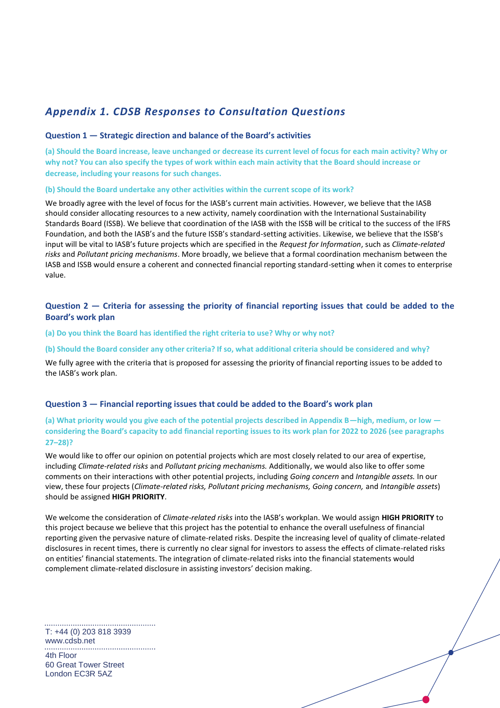# *Appendix 1. CDSB Responses to Consultation Questions*

## **Question 1 — Strategic direction and balance of the Board's activities**

**(a) Should the Board increase, leave unchanged or decrease its current level of focus for each main activity? Why or why not? You can also specify the types of work within each main activity that the Board should increase or decrease, including your reasons for such changes.** 

### **(b) Should the Board undertake any other activities within the current scope of its work?**

We broadly agree with the level of focus for the IASB's current main activities. However, we believe that the IASB should consider allocating resources to a new activity, namely coordination with the International Sustainability Standards Board (ISSB). We believe that coordination of the IASB with the ISSB will be critical to the success of the IFRS Foundation, and both the IASB's and the future ISSB's standard-setting activities. Likewise, we believe that the ISSB's input will be vital to IASB's future projects which are specified in the *Request for Information*, such as *Climate-related risks* and *Pollutant pricing mechanisms*. More broadly, we believe that a formal coordination mechanism between the IASB and ISSB would ensure a coherent and connected financial reporting standard-setting when it comes to enterprise value.

# **Question 2 — Criteria for assessing the priority of financial reporting issues that could be added to the Board's work plan**

### **(a) Do you think the Board has identified the right criteria to use? Why or why not?**

### **(b) Should the Board consider any other criteria? If so, what additional criteria should be considered and why?**

We fully agree with the criteria that is proposed for assessing the priority of financial reporting issues to be added to the IASB's work plan.

### **Question 3 — Financial reporting issues that could be added to the Board's work plan**

## **(a) What priority would you give each of the potential projects described in Appendix B—high, medium, or low considering the Board's capacity to add financial reporting issues to its work plan for 2022 to 2026 (see paragraphs 27–28)?**

We would like to offer our opinion on potential projects which are most closely related to our area of expertise, including *Climate-related risks* and *Pollutant pricing mechanisms.* Additionally, we would also like to offer some comments on their interactions with other potential projects, including *Going concern* and *Intangible assets.* In our view, these four projects (*Climate-related risks, Pollutant pricing mechanisms, Going concern,* and *Intangible assets*) should be assigned **HIGH PRIORITY**.

We welcome the consideration of *Climate-related risks* into the IASB's workplan. We would assign **HIGH PRIORITY** to this project because we believe that this project has the potential to enhance the overall usefulness of financial reporting given the pervasive nature of climate-related risks. Despite the increasing level of quality of climate-related disclosures in recent times, there is currently no clear signal for investors to assess the effects of climate-related risks on entities' financial statements. The integration of climate-related risks into the financial statements would complement climate-related disclosure in assisting investors' decision making.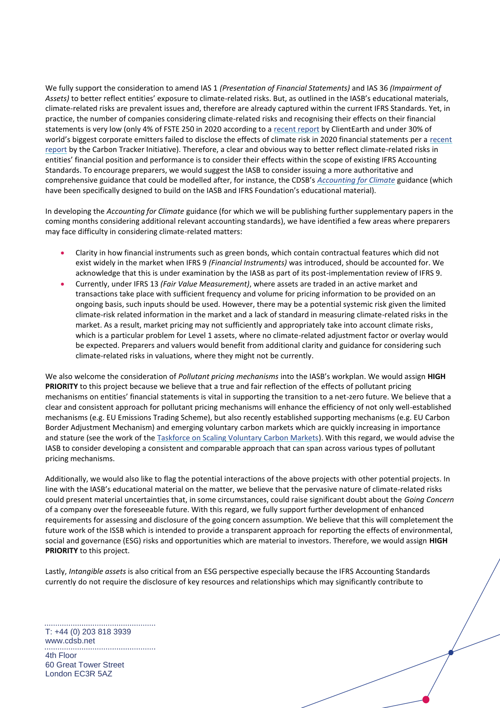We fully support the consideration to amend IAS 1 *(Presentation of Financial Statements)* and IAS 36 *(Impairment of Assets)* to better reflect entities' exposure to climate-related risks. But, as outlined in the IASB's educational materials, climate-related risks are prevalent issues and, therefore are already captured within the current IFRS Standards. Yet, in practice, the number of companies considering climate-related risks and recognising their effects on their financial statements is very low (only 4% of FSTE 250 in 2020 according to a [recent report](https://www.clientearth.org/latest/documents/accountability-emergency-a-review-of-uk-listed-companies-climate-change-related-reporting-2019-20/) by ClientEarth and under 30% of world's biggest corporate emitters failed to disclose the effects of climate risk in 2020 financial statements per a [recent](https://carbontracker.org/reports/flying-blind-the-glaring-absence-of-climate-risks-in-financial-reporting/)  [report](https://carbontracker.org/reports/flying-blind-the-glaring-absence-of-climate-risks-in-financial-reporting/) by the Carbon Tracker Initiative). Therefore, a clear and obvious way to better reflect climate-related risks in entities' financial position and performance is to consider their effects within the scope of existing IFRS Accounting Standards. To encourage preparers, we would suggest the IASB to consider issuing a more authoritative and comprehensive guidance that could be modelled after, for instance, the CDSB's *[Accounting](https://www.cdsb.net/climateaccounting) for Climate* guidance (which have been specifically designed to build on the IASB and IFRS Foundation's educational material).

In developing the *Accounting for Climate* guidance (for which we will be publishing further supplementary papers in the coming months considering additional relevant accounting standards), we have identified a few areas where preparers may face difficulty in considering climate-related matters:

- Clarity in how financial instruments such as green bonds, which contain contractual features which did not exist widely in the market when IFRS 9 *(Financial Instruments)* was introduced, should be accounted for. We acknowledge that this is under examination by the IASB as part of its post-implementation review of IFRS 9.
- Currently, under IFRS 13 *(Fair Value Measurement)*, where assets are traded in an active market and transactions take place with sufficient frequency and volume for pricing information to be provided on an ongoing basis, such inputs should be used. However, there may be a potential systemic risk given the limited climate-risk related information in the market and a lack of standard in measuring climate-related risks in the market. As a result, market pricing may not sufficiently and appropriately take into account climate risks, which is a particular problem for Level 1 assets, where no climate-related adjustment factor or overlay would be expected. Preparers and valuers would benefit from additional clarity and guidance for considering such climate-related risks in valuations, where they might not be currently.

We also welcome the consideration of *Pollutant pricing mechanisms* into the IASB's workplan. We would assign **HIGH PRIORITY** to this project because we believe that a true and fair reflection of the effects of pollutant pricing mechanisms on entities' financial statements is vital in supporting the transition to a net-zero future. We believe that a clear and consistent approach for pollutant pricing mechanisms will enhance the efficiency of not only well-established mechanisms (e.g. EU Emissions Trading Scheme), but also recently established supporting mechanisms (e.g. EU Carbon Border Adjustment Mechanism) and emerging voluntary carbon markets which are quickly increasing in importance and stature (see the work of the [Taskforce on Scaling Voluntary Carbon Markets\)](https://www.iif.com/tsvcm). With this regard, we would advise the IASB to consider developing a consistent and comparable approach that can span across various types of pollutant pricing mechanisms.

Additionally, we would also like to flag the potential interactions of the above projects with other potential projects. In line with the IASB's educational material on the matter, we believe that the pervasive nature of climate-related risks could present material uncertainties that, in some circumstances, could raise significant doubt about the *Going Concern*  of a company over the foreseeable future. With this regard, we fully support further development of enhanced requirements for assessing and disclosure of the going concern assumption. We believe that this will completement the future work of the ISSB which is intended to provide a transparent approach for reporting the effects of environmental, social and governance (ESG) risks and opportunities which are material to investors. Therefore, we would assign **HIGH PRIORITY** to this project.

Lastly, *Intangible assets* is also critical from an ESG perspective especially because the IFRS Accounting Standards currently do not require the disclosure of key resources and relationships which may significantly contribute to